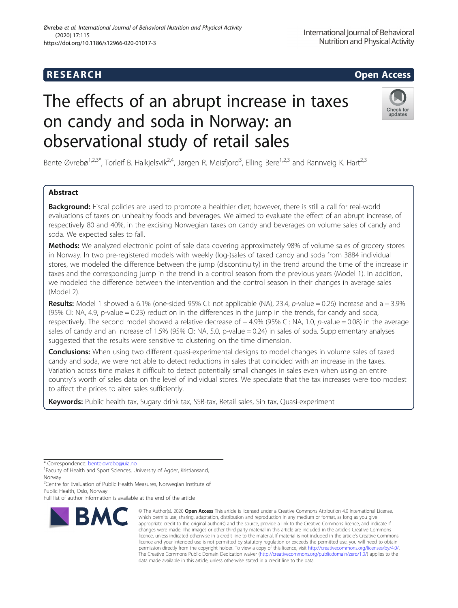# The effects of an abrupt increase in taxes on candy and soda in Norway: an observational study of retail sales



Bente Øvrebø<sup>1,2,3\*</sup>, Torleif B. Halkjelsvik<sup>2,4</sup>, Jørgen R. Meisfjord<sup>3</sup>, Elling Bere<sup>1,2,3</sup> and Rannveig K. Hart<sup>2,3</sup>

# Abstract

**Background:** Fiscal policies are used to promote a healthier diet; however, there is still a call for real-world evaluations of taxes on unhealthy foods and beverages. We aimed to evaluate the effect of an abrupt increase, of respectively 80 and 40%, in the excising Norwegian taxes on candy and beverages on volume sales of candy and soda. We expected sales to fall.

Methods: We analyzed electronic point of sale data covering approximately 98% of volume sales of grocery stores in Norway. In two pre-registered models with weekly (log-)sales of taxed candy and soda from 3884 individual stores, we modeled the difference between the jump (discontinuity) in the trend around the time of the increase in taxes and the corresponding jump in the trend in a control season from the previous years (Model 1). In addition, we modeled the difference between the intervention and the control season in their changes in average sales (Model 2).

Results: Model 1 showed a 6.1% (one-sided 95% CI: not applicable (NA), 23.4, p-value = 0.26) increase and a − 3.9% (95% CI: NA, 4.9, p-value  $= 0.23$ ) reduction in the differences in the jump in the trends, for candy and soda, respectively. The second model showed a relative decrease of −4.9% (95% CI: NA, 1.0, p-value = 0.08) in the average sales of candy and an increase of 1.5% (95% CI: NA, 5.0, p-value = 0.24) in sales of soda. Supplementary analyses suggested that the results were sensitive to clustering on the time dimension.

**Conclusions:** When using two different quasi-experimental designs to model changes in volume sales of taxed candy and soda, we were not able to detect reductions in sales that coincided with an increase in the taxes. Variation across time makes it difficult to detect potentially small changes in sales even when using an entire country's worth of sales data on the level of individual stores. We speculate that the tax increases were too modest to affect the prices to alter sales sufficiently.

Keywords: Public health tax, Sugary drink tax, SSB-tax, Retail sales, Sin tax, Quasi-experiment

\* Correspondence: [bente.ovrebo@uia.no](mailto:bente.ovrebo@uia.no) <sup>1</sup>

<sup>1</sup> Faculty of Health and Sport Sciences, University of Agder, Kristiansand, Norway

<sup>2</sup>Centre for Evaluation of Public Health Measures, Norwegian Institute of Public Health, Oslo, Norway

Full list of author information is available at the end of the article



<sup>©</sup> The Author(s), 2020 **Open Access** This article is licensed under a Creative Commons Attribution 4.0 International License, which permits use, sharing, adaptation, distribution and reproduction in any medium or format, as long as you give appropriate credit to the original author(s) and the source, provide a link to the Creative Commons licence, and indicate if changes were made. The images or other third party material in this article are included in the article's Creative Commons licence, unless indicated otherwise in a credit line to the material. If material is not included in the article's Creative Commons licence and your intended use is not permitted by statutory regulation or exceeds the permitted use, you will need to obtain permission directly from the copyright holder. To view a copy of this licence, visit [http://creativecommons.org/licenses/by/4.0/.](http://creativecommons.org/licenses/by/4.0/) The Creative Commons Public Domain Dedication waiver [\(http://creativecommons.org/publicdomain/zero/1.0/](http://creativecommons.org/publicdomain/zero/1.0/)) applies to the data made available in this article, unless otherwise stated in a credit line to the data.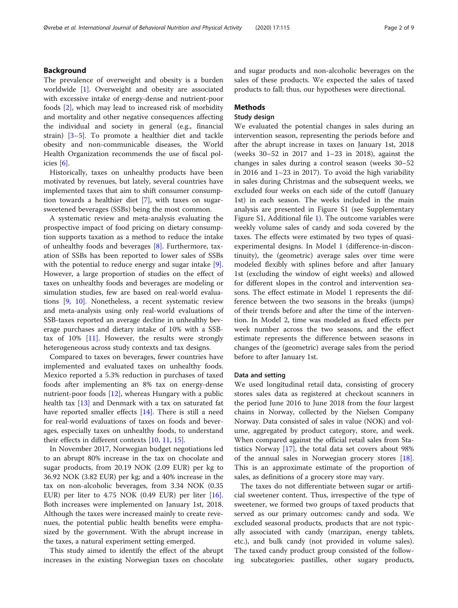# Background

The prevalence of overweight and obesity is a burden worldwide [[1\]](#page-7-0). Overweight and obesity are associated with excessive intake of energy-dense and nutrient-poor foods [\[2](#page-7-0)], which may lead to increased risk of morbidity and mortality and other negative consequences affecting the individual and society in general (e.g., financial strain) [\[3](#page-7-0)–[5](#page-7-0)]. To promote a healthier diet and tackle obesity and non-communicable diseases, the World Health Organization recommends the use of fiscal policies [[6](#page-7-0)].

Historically, taxes on unhealthy products have been motivated by revenues, but lately, several countries have implemented taxes that aim to shift consumer consumption towards a healthier diet [\[7](#page-7-0)], with taxes on sugarsweetened beverages (SSBs) being the most common.

A systematic review and meta-analysis evaluating the prospective impact of food pricing on dietary consumption supports taxation as a method to reduce the intake of unhealthy foods and beverages [[8\]](#page-7-0). Furthermore, taxation of SSBs has been reported to lower sales of SSBs with the potential to reduce energy and sugar intake [\[9](#page-7-0)]. However, a large proportion of studies on the effect of taxes on unhealthy foods and beverages are modeling or simulation studies, few are based on real-world evaluations [\[9](#page-7-0), [10\]](#page-7-0). Nonetheless, a recent systematic review and meta-analysis using only real-world evaluations of SSB-taxes reported an average decline in unhealthy beverage purchases and dietary intake of 10% with a SSBtax of  $10\%$  [[11\]](#page-7-0). However, the results were strongly heterogeneous across study contexts and tax designs.

Compared to taxes on beverages, fewer countries have implemented and evaluated taxes on unhealthy foods. Mexico reported a 5.3% reduction in purchases of taxed foods after implementing an 8% tax on energy-dense nutrient-poor foods [\[12\]](#page-7-0), whereas Hungary with a public health tax [\[13\]](#page-7-0) and Denmark with a tax on saturated fat have reported smaller effects [\[14](#page-7-0)]. There is still a need for real-world evaluations of taxes on foods and beverages, especially taxes on unhealthy foods, to understand their effects in different contexts [\[10](#page-7-0), [11](#page-7-0), [15\]](#page-7-0).

In November 2017, Norwegian budget negotiations led to an abrupt 80% increase in the tax on chocolate and sugar products, from 20.19 NOK (2.09 EUR) per kg to 36.92 NOK (3.82 EUR) per kg; and a 40% increase in the tax on non-alcoholic beverages, from 3.34 NOK (0.35 EUR) per liter to  $4.75$  NOK (0.49 EUR) per liter [\[16](#page-7-0)]. Both increases were implemented on January 1st, 2018. Although the taxes were increased mainly to create revenues, the potential public health benefits were emphasized by the government. With the abrupt increase in the taxes, a natural experiment setting emerged.

This study aimed to identify the effect of the abrupt increases in the existing Norwegian taxes on chocolate and sugar products and non-alcoholic beverages on the sales of these products. We expected the sales of taxed products to fall; thus, our hypotheses were directional.

# Methods

# Study design

We evaluated the potential changes in sales during an intervention season, representing the periods before and after the abrupt increase in taxes on January 1st, 2018 (weeks 30–52 in 2017 and 1–23 in 2018), against the changes in sales during a control season (weeks 30–52 in 2016 and 1–23 in 2017). To avoid the high variability in sales during Christmas and the subsequent weeks, we excluded four weeks on each side of the cutoff (January 1st) in each season. The weeks included in the main analysis are presented in Figure S1 (see Supplementary Figure S1, Additional file [1\)](#page-7-0). The outcome variables were weekly volume sales of candy and soda covered by the taxes. The effects were estimated by two types of quasiexperimental designs. In Model 1 (difference-in-discontinuity), the (geometric) average sales over time were modeled flexibly with splines before and after January 1st (excluding the window of eight weeks) and allowed for different slopes in the control and intervention seasons. The effect estimate in Model 1 represents the difference between the two seasons in the breaks (jumps) of their trends before and after the time of the intervention. In Model 2, time was modeled as fixed effects per week number across the two seasons, and the effect estimate represents the difference between seasons in changes of the (geometric) average sales from the period before to after January 1st.

#### Data and setting

We used longitudinal retail data, consisting of grocery stores sales data as registered at checkout scanners in the period June 2016 to June 2018 from the four largest chains in Norway, collected by the Nielsen Company Norway. Data consisted of sales in value (NOK) and volume, aggregated by product category, store, and week. When compared against the official retail sales from Statistics Norway [[17\]](#page-7-0), the total data set covers about 98% of the annual sales in Norwegian grocery stores [\[18](#page-7-0)]. This is an approximate estimate of the proportion of sales, as definitions of a grocery store may vary.

The taxes do not differentiate between sugar or artificial sweetener content. Thus, irrespective of the type of sweetener, we formed two groups of taxed products that served as our primary outcomes: candy and soda. We excluded seasonal products, products that are not typically associated with candy (marzipan, energy tablets, etc.), and bulk candy (not provided in volume sales). The taxed candy product group consisted of the following subcategories: pastilles, other sugary products,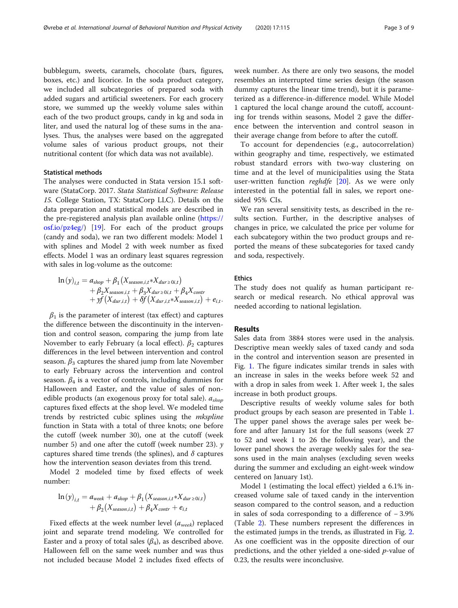bubblegum, sweets, caramels, chocolate (bars, figures, boxes, etc.) and licorice. In the soda product category, we included all subcategories of prepared soda with added sugars and artificial sweeteners. For each grocery store, we summed up the weekly volume sales within each of the two product groups, candy in kg and soda in liter, and used the natural log of these sums in the analyses. Thus, the analyses were based on the aggregated volume sales of various product groups, not their nutritional content (for which data was not available).

# Statistical methods

The analyses were conducted in Stata version 15.1 software (StataCorp. 2017. Stata Statistical Software: Release 15. College Station, TX: StataCorp LLC). Details on the data preparation and statistical models are described in the pre-registered analysis plan available online ([https://](https://osf.io/pz4eg/) [osf.io/pz4eg/\)](https://osf.io/pz4eg/) [[19\]](#page-7-0). For each of the product groups (candy and soda), we ran two different models: Model 1 with splines and Model 2 with week number as fixed effects. Model 1 was an ordinary least squares regression with sales in log-volume as the outcome:

$$
\ln(y)_{i,t} = a_{shop} + \beta_1 (X_{season,i,t} * X_{dur \ge 0i,t}) + \beta_2 X_{season,i,t} + \beta_3 X_{dur \ge 0i,t} + \beta_4 X_{contr} + yf(X_{dur,i,t}) + \delta f(X_{dur,i,t} * X_{season,i,t}) + e_{i,t}.
$$

 $\beta_1$  is the parameter of interest (tax effect) and captures the difference between the discontinuity in the intervention and control season, comparing the jump from late November to early February (a local effect).  $\beta_2$  captures differences in the level between intervention and control season.  $\beta_3$  captures the shared jump from late November to early February across the intervention and control season.  $\beta_4$  is a vector of controls, including dummies for Halloween and Easter, and the value of sales of nonedible products (an exogenous proxy for total sale).  $a_{\text{shop}}$ captures fixed effects at the shop level. We modeled time trends by restricted cubic splines using the *mkspline* function in Stata with a total of three knots; one before the cutoff (week number 30), one at the cutoff (week number 5) and one after the cutoff (week number 23).  $\gamma$ captures shared time trends (the splines), and  $\delta$  captures how the intervention season deviates from this trend.

Model 2 modeled time by fixed effects of week number:

$$
\ln(y)_{i,t} = a_{week} + a_{shop} + \beta_1(X_{season,i,t} * X_{dur \ge 0i,t}) + \beta_2(X_{season,i,t}) + \beta_4 X_{contr} + e_{i,t}
$$

Fixed effects at the week number level  $(a_{week})$  replaced joint and separate trend modeling. We controlled for Easter and a proxy of total sales  $(\beta_4)$ , as described above. Halloween fell on the same week number and was thus not included because Model 2 includes fixed effects of week number. As there are only two seasons, the model resembles an interrupted time series design (the season dummy captures the linear time trend), but it is parameterized as a difference-in-difference model. While Model 1 captured the local change around the cutoff, accounting for trends within seasons, Model 2 gave the difference between the intervention and control season in their average change from before to after the cutoff.

To account for dependencies (e.g., autocorrelation) within geography and time, respectively, we estimated robust standard errors with two-way clustering on time and at the level of municipalities using the Stata user-written function *reghdfe* [[20\]](#page-7-0). As we were only interested in the potential fall in sales, we report onesided 95% CIs.

We ran several sensitivity tests, as described in the results section. Further, in the descriptive analyses of changes in price, we calculated the price per volume for each subcategory within the two product groups and reported the means of these subcategories for taxed candy and soda, respectively.

# Ethics

The study does not qualify as human participant research or medical research. No ethical approval was needed according to national legislation.

# Results

Sales data from 3884 stores were used in the analysis. Descriptive mean weekly sales of taxed candy and soda in the control and intervention season are presented in Fig. [1](#page-3-0). The figure indicates similar trends in sales with an increase in sales in the weeks before week 52 and with a drop in sales from week 1. After week 1, the sales increase in both product groups.

Descriptive results of weekly volume sales for both product groups by each season are presented in Table [1](#page-3-0). The upper panel shows the average sales per week before and after January 1st for the full seasons (week 27 to 52 and week 1 to 26 the following year), and the lower panel shows the average weekly sales for the seasons used in the main analyses (excluding seven weeks during the summer and excluding an eight-week window centered on January 1st).

Model 1 (estimating the local effect) yielded a 6.1% increased volume sale of taxed candy in the intervention season compared to the control season, and a reduction in sales of soda corresponding to a difference of − 3.9% (Table [2\)](#page-4-0). These numbers represent the differences in the estimated jumps in the trends, as illustrated in Fig. [2](#page-4-0). As one coefficient was in the opposite direction of our predictions, and the other yielded a one-sided *p*-value of 0.23, the results were inconclusive.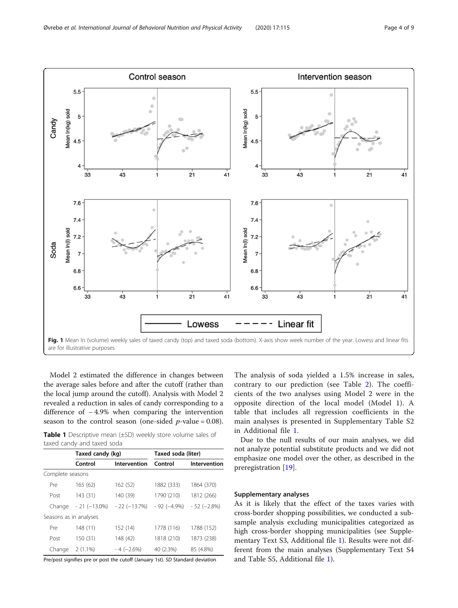<span id="page-3-0"></span>

Model 2 estimated the difference in changes between the average sales before and after the cutoff (rather than the local jump around the cutoff). Analysis with Model 2 revealed a reduction in sales of candy corresponding to a difference of − 4.9% when comparing the intervention season to the control season (one-sided  $p$ -value = 0.08).

|  | <b>Table 1</b> Descriptive mean (±SD) weekly store volume sales of |  |  |  |
|--|--------------------------------------------------------------------|--|--|--|
|  | taxed candy and taxed soda                                         |  |  |  |

|                        | Taxed candy (kg) |               | Taxed soda (liter) |               |  |
|------------------------|------------------|---------------|--------------------|---------------|--|
|                        | Control          | Intervention  | Control            | Intervention  |  |
| Complete seasons       |                  |               |                    |               |  |
| Pre                    | 165(62)          | 162 (52)      | 1882 (333)         | 1864 (370)    |  |
| Post                   | 143 (31)         | 140 (39)      | 1790 (210)         | 1812 (266)    |  |
| Change                 | $-21(-13.0\%)$   | $-22(-13.7%)$ | $-92(-4.9%)$       | $-52 (-2.8%)$ |  |
| Seasons as in analyses |                  |               |                    |               |  |
| Pre                    | 148 (11)         | 152 (14)      | 1778 (116)         | 1788 (152)    |  |
| Post                   | 150 (31)         | 148 (42)      | 1818 (210)         | 1873 (238)    |  |
| Change                 | $2(1.1\%)$       | $-4 (-2.6%)$  | 40 (2.3%)          | 85 (4.8%)     |  |

Pre/post signifies pre or post the cutoff (January 1st). SD Standard deviation

The analysis of soda yielded a 1.5% increase in sales, contrary to our prediction (see Table [2](#page-4-0)). The coefficients of the two analyses using Model 2 were in the opposite direction of the local model (Model 1). A table that includes all regression coefficients in the main analyses is presented in Supplementary Table S2 in Additional file [1](#page-7-0).

Due to the null results of our main analyses, we did not analyze potential substitute products and we did not emphasize one model over the other, as described in the preregistration [[19\]](#page-7-0).

# Supplementary analyses

As it is likely that the effect of the taxes varies with cross-border shopping possibilities, we conducted a subsample analysis excluding municipalities categorized as high cross-border shopping municipalities (see Supplementary Text S3, Additional file [1\)](#page-7-0). Results were not different from the main analyses (Supplementary Text S4 and Table S5, Additional file [1\)](#page-7-0).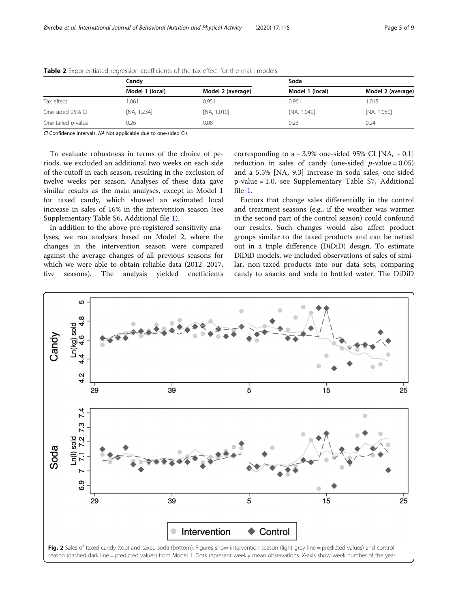|                    | Candv           |                   | Soda            |                   |  |
|--------------------|-----------------|-------------------|-----------------|-------------------|--|
|                    | Model 1 (local) | Model 2 (average) | Model 1 (local) | Model 2 (average) |  |
| Tax effect         | 1.061           | 0.951             | 0.961           | 1.015             |  |
| One-sided 95% CL   | [NA, 1.234]     | [NA, 1.010]       | [NA, 1.049]     | [NA, 1.050]       |  |
| One-tailed p-value | 0.26            | 0.08              | 0.23            | 0.24              |  |

<span id="page-4-0"></span>Table 2 Exponentiated regression coefficients of the tax effect for the main models

CI Confidence intervals. NA Not applicable due to one-sided CIs

To evaluate robustness in terms of the choice of periods, we excluded an additional two weeks on each side of the cutoff in each season, resulting in the exclusion of twelve weeks per season. Analyses of these data gave similar results as the main analyses, except in Model 1 for taxed candy, which showed an estimated local increase in sales of 16% in the intervention season (see Supplementary Table S6, Additional file [1](#page-7-0)).

In addition to the above pre-registered sensitivity analyses, we ran analyses based on Model 2, where the changes in the intervention season were compared against the average changes of all previous seasons for which we were able to obtain reliable data (2012–2017, five seasons). The analysis yielded coefficients

corresponding to a  $-3.9\%$  one-sided 95% CI [NA,  $-0.1$ ] reduction in sales of candy (one-sided  $p$ -value = 0.05) and a 5.5% [NA, 9.3] increase in soda sales, one-sided p-value = 1.0, see Supplementary Table S7, Additional file [1](#page-7-0).

Factors that change sales differentially in the control and treatment seasons (e.g., if the weather was warmer in the second part of the control season) could confound our results. Such changes would also affect product groups similar to the taxed products and can be netted out in a triple difference (DiDiD) design. To estimate DiDiD models, we included observations of sales of similar, non-taxed products into our data sets, comparing candy to snacks and soda to bottled water. The DiDiD

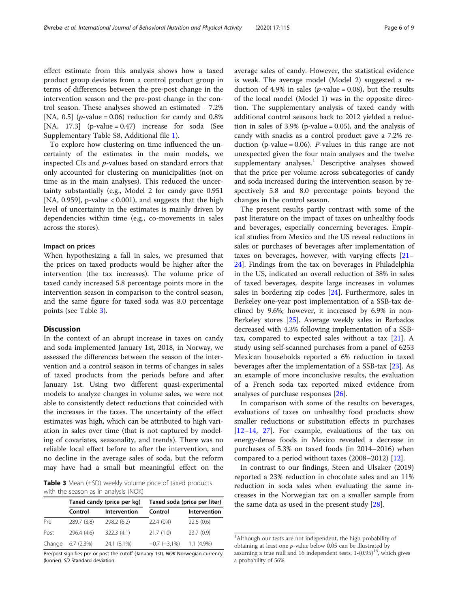effect estimate from this analysis shows how a taxed product group deviates from a control product group in terms of differences between the pre-post change in the intervention season and the pre-post change in the control season. These analyses showed an estimated − 7.2% [NA, 0.5] (*p*-value = 0.06) reduction for candy and  $0.8\%$ [NA,  $17.3$ ] (p-value = 0.47) increase for soda (See Supplementary Table S8, Additional file [1](#page-7-0)).

To explore how clustering on time influenced the uncertainty of the estimates in the main models, we inspected CIs and p-values based on standard errors that only accounted for clustering on municipalities (not on time as in the main analyses). This reduced the uncertainty substantially (e.g., Model 2 for candy gave 0.951 [NA, 0.959], p-value  $< 0.001$ ), and suggests that the high level of uncertainty in the estimates is mainly driven by dependencies within time (e.g., co-movements in sales across the stores).

## Impact on prices

When hypothesizing a fall in sales, we presumed that the prices on taxed products would be higher after the intervention (the tax increases). The volume price of taxed candy increased 5.8 percentage points more in the intervention season in comparison to the control season, and the same figure for taxed soda was 8.0 percentage points (see Table 3).

# Discussion

In the context of an abrupt increase in taxes on candy and soda implemented January 1st, 2018, in Norway, we assessed the differences between the season of the intervention and a control season in terms of changes in sales of taxed products from the periods before and after January 1st. Using two different quasi-experimental models to analyze changes in volume sales, we were not able to consistently detect reductions that coincided with the increases in the taxes. The uncertainty of the effect estimates was high, which can be attributed to high variation in sales over time (that is not captured by modeling of covariates, seasonality, and trends). There was no reliable local effect before to after the intervention, and no decline in the average sales of soda, but the reform may have had a small but meaningful effect on the

**Table 3** Mean  $(\pm SD)$  weekly volume price of taxed products with the season as in analysis (NOK)

|        |             | Taxed candy (price per kg) | Taxed soda (price per liter) |              |  |
|--------|-------------|----------------------------|------------------------------|--------------|--|
|        | Control     | Intervention               | Control                      | Intervention |  |
| Pre    | 289.7 (3.8) | 298.2 (6.2)                | 22.4(0.4)                    | 22.6(0.6)    |  |
| Post   | 296.4 (4.6) | 322.3(4.1)                 | 21.7(1.0)                    | 23.7(0.9)    |  |
| Change | 6.7(2.3%)   | 24.1 (8.1%)                | $-0.7$ ( $-3.1\%$ )          | $1.1(4.9\%)$ |  |

Pre/post signifies pre or post the cutoff (January 1st). NOK Norwegian currency (kroner). SD Standard deviation

average sales of candy. However, the statistical evidence is weak. The average model (Model 2) suggested a reduction of 4.9% in sales ( $p$ -value = 0.08), but the results of the local model (Model 1) was in the opposite direction. The supplementary analysis of taxed candy with additional control seasons back to 2012 yielded a reduction in sales of  $3.9\%$  (p-value = 0.05), and the analysis of candy with snacks as a control product gave a 7.2% reduction (p-value =  $0.06$ ). *P*-values in this range are not unexpected given the four main analyses and the twelve supplementary analyses.<sup>1</sup> Descriptive analyses showed that the price per volume across subcategories of candy and soda increased during the intervention season by respectively 5.8 and 8.0 percentage points beyond the changes in the control season.

The present results partly contrast with some of the past literature on the impact of taxes on unhealthy foods and beverages, especially concerning beverages. Empirical studies from Mexico and the US reveal reductions in sales or purchases of beverages after implementation of taxes on beverages, however, with varying effects [[21](#page-7-0)– [24\]](#page-7-0). Findings from the tax on beverages in Philadelphia in the US, indicated an overall reduction of 38% in sales of taxed beverages, despite large increases in volumes sales in bordering zip codes [\[24\]](#page-7-0). Furthermore, sales in Berkeley one-year post implementation of a SSB-tax declined by 9.6%; however, it increased by 6.9% in non-Berkeley stores [[25](#page-7-0)]. Average weekly sales in Barbados decreased with 4.3% following implementation of a SSBtax, compared to expected sales without a tax  $[21]$  $[21]$ . A study using self-scanned purchases from a panel of 6253 Mexican households reported a 6% reduction in taxed beverages after the implementation of a SSB-tax [[23](#page-7-0)]. As an example of more inconclusive results, the evaluation of a French soda tax reported mixed evidence from analyses of purchase responses [[26\]](#page-7-0).

In comparison with some of the results on beverages, evaluations of taxes on unhealthy food products show smaller reductions or substitution effects in purchases [[12](#page-7-0)–[14](#page-7-0), [27](#page-8-0)]. For example, evaluations of the tax on energy-dense foods in Mexico revealed a decrease in purchases of 5.3% on taxed foods (in 2014–2016) when compared to a period without taxes (2008–2012) [[12](#page-7-0)].

In contrast to our findings, Steen and Ulsaker (2019) reported a 23% reduction in chocolate sales and an 11% reduction in soda sales when evaluating the same increases in the Norwegian tax on a smaller sample from the same data as used in the present study [[28\]](#page-8-0).

<sup>&</sup>lt;sup>1</sup>Although our tests are not independent, the high probability of obtaining at least one p-value below 0.05 can be illustrated by assuming a true null and 16 independent tests,  $1-(0.95)^{16}$ , which gives a probability of 56%.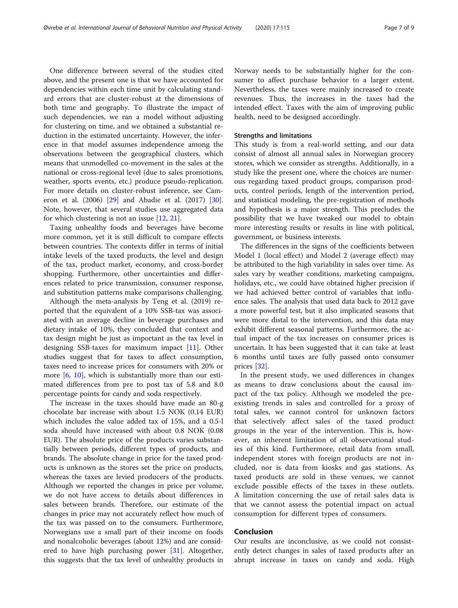One difference between several of the studies cited above, and the present one is that we have accounted for dependencies within each time unit by calculating standard errors that are cluster-robust at the dimensions of both time and geography. To illustrate the impact of such dependencies, we ran a model without adjusting for clustering on time, and we obtained a substantial reduction in the estimated uncertainty. However, the inference in that model assumes independence among the observations between the geographical clusters, which means that unmodelled co-movement in the sales at the national or cross-regional level (due to sales promotions, weather, sports events, etc.) produce pseudo-replication. For more details on cluster-robust inference, see Cameron et al. (2006) [[29\]](#page-8-0) and Abadie et al. (2017) [\[30](#page-8-0)]. Note, however, that several studies use aggregated data for which clustering is not an issue [\[12](#page-7-0), [21\]](#page-7-0).

Taxing unhealthy foods and beverages have become more common, yet it is still difficult to compare effects between countries. The contexts differ in terms of initial intake levels of the taxed products, the level and design of the tax, product market, economy, and cross-border shopping. Furthermore, other uncertainties and differences related to price transmission, consumer response, and substitution patterns make comparisons challenging.

Although the meta-analysis by Teng et al. (2019) reported that the equivalent of a 10% SSB-tax was associated with an average decline in beverage purchases and dietary intake of 10%, they concluded that context and tax design might be just as important as the tax level in designing SSB-taxes for maximum impact [[11\]](#page-7-0). Other studies suggest that for taxes to affect consumption, taxes need to increase prices for consumers with 20% or more [\[6,](#page-7-0) [10\]](#page-7-0), which is substantially more than our estimated differences from pre to post tax of 5.8 and 8.0 percentage points for candy and soda respectively.

The increase in the taxes should have made an 80-g chocolate bar increase with about 1.5 NOK (0.14 EUR) which includes the value added tax of 15%, and a 0.5-l soda should have increased with about 0.8 NOK (0.08 EUR). The absolute price of the products varies substantially between periods, different types of products, and brands. The absolute change in price for the taxed products is unknown as the stores set the price on products, whereas the taxes are levied producers of the products. Although we reported the changes in price per volume, we do not have access to details about differences in sales between brands. Therefore, our estimate of the changes in price may not accurately reflect how much of the tax was passed on to the consumers. Furthermore, Norwegians use a small part of their income on foods and nonalcoholic beverages (about 12%) and are considered to have high purchasing power [\[31](#page-8-0)]. Altogether, this suggests that the tax level of unhealthy products in

Norway needs to be substantially higher for the consumer to affect purchase behavior to a larger extent. Nevertheless, the taxes were mainly increased to create revenues. Thus, the increases in the taxes had the intended effect. Taxes with the aim of improving public health, need to be designed accordingly.

## Strengths and limitations

This study is from a real-world setting, and our data consist of almost all annual sales in Norwegian grocery stores, which we consider as strengths. Additionally, in a study like the present one, where the choices are numerous regarding taxed product groups, comparison products, control periods, length of the intervention period, and statistical modeling, the pre-registration of methods and hypothesis is a major strength. This precludes the possibility that we have tweaked our model to obtain more interesting results or results in line with political, government, or business interests.

The differences in the signs of the coefficients between Model 1 (local effect) and Model 2 (average effect) may be attributed to the high variability in sales over time. As sales vary by weather conditions, marketing campaigns, holidays, etc., we could have obtained higher precision if we had achieved better control of variables that influence sales. The analysis that used data back to 2012 gave a more powerful test, but it also implicated seasons that were more distal to the intervention, and this data may exhibit different seasonal patterns. Furthermore, the actual impact of the tax increases on consumer prices is uncertain. It has been suggested that it can take at least 6 months until taxes are fully passed onto consumer prices [[32\]](#page-8-0).

In the present study, we used differences in changes as means to draw conclusions about the causal impact of the tax policy. Although we modeled the preexisting trends in sales and controlled for a proxy of total sales, we cannot control for unknown factors that selectively affect sales of the taxed product groups in the year of the intervention. This is, however, an inherent limitation of all observational studies of this kind. Furthermore, retail data from small, independent stores with foreign products are not included, nor is data from kiosks and gas stations. As taxed products are sold in these venues, we cannot exclude possible effects of the taxes in these outlets. A limitation concerning the use of retail sales data is that we cannot assess the potential impact on actual consumption for different types of consumers.

# Conclusion

Our results are inconclusive, as we could not consistently detect changes in sales of taxed products after an abrupt increase in taxes on candy and soda. High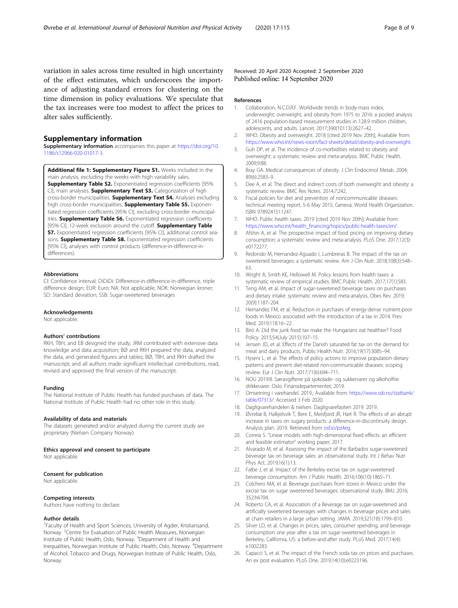# <span id="page-7-0"></span>Supplementary information

Supplementary information accompanies this paper at [https://doi.org/10.](https://doi.org/10.1186/s12966-020-01017-3) [1186/s12966-020-01017-3](https://doi.org/10.1186/s12966-020-01017-3).

Additional file 1: Supplementary Figure S1. Weeks included in the main analysis, excluding the weeks with high variability sales. Supplementary Table S2. Exponentiated regression coefficients [95% CI], main analyses. **Supplementary Text S3.** Categorization of high cross-border municipalities. Supplementary Text S4. Analyses excluding high cross-border municipalities. Supplementary Table S5. Exponentiated regression coefficients [95% CI], excluding cross-border municipalities. Supplementary Table S6. Exponentiated regression coefficients [95% CI], 12-week exclusion around the cutoff. **Supplementary Table** S7. Exponentiated regression coefficients [95% CI], additional control seasons. Supplementary Table S8. Exponentiated regression coefficients [95% CI], analyses with control products (difference-in-difference-indifferences).

#### Abbreviations

CI: Confidence interval; DiDiDi: Difference-in-difference-in-difference, triple difference design; EUR: Euro; NA: Not applicable; NOK: Norwegian kroner; SD: Standard deviation; SSB: Sugar-sweetened beverages

#### Acknowledgements

Not applicable.

#### Authors' contributions

RKH, TBH, and EB designed the study; JRM contributed with extensive data knowledge and data acquisition; BØ and RKH prepared the data, analyzed the data, and generated figures and tables; BØ, TBH, and RKH drafted the manuscript; and all authors made significant intellectual contributions, read, revised and approved the final version of the manuscript.

#### Funding

The National Institute of Public Health has funded purchases of data. The National Institute of Public Health had no other role in this study.

#### Availability of data and materials

The datasets generated and/or analyzed during the current study are proprietary (Nielsen Company Norway).

#### Ethics approval and consent to participate

Not applicable.

#### Consent for publication

Not applicable

#### Competing interests

Authors have nothing to declare.

#### Author details

<sup>1</sup> Faculty of Health and Sport Sciences, University of Agder, Kristiansand, Norway. <sup>2</sup>Centre for Evaluation of Public Health Measures, Norwegian Institute of Public Health, Oslo, Norway. <sup>3</sup>Department of Health and Inequalities, Norwegian Institute of Public Health, Oslo, Norway. <sup>4</sup>Department of Alcohol, Tobacco and Drugs, Norwegian Institute of Public Health, Oslo, **Norway** 

Received: 20 April 2020 Accepted: 2 September 2020 Published online: 14 September 2020

#### References

- 1. Collaboration, N.C.D.R.F. Worldwide trends in body-mass index, underweight, overweight, and obesity from 1975 to 2016: a pooled analysis of 2416 population-based measurement studies in 128.9 million children, adolescents, and adults. Lancet. 2017;390(10113):2627–42.
- 2. WHO. Obesity and overweight. 2018 [cited 2019 Nov 20th]; Available from: [https://www.who.int/news-room/fact-sheets/detail/obesity-and-overweight.](https://www.who.int/news-room/fact-sheets/detail/obesity-and-overweight)
- 3. Guh DP, et al. The incidence of co-morbidities related to obesity and overweight: a systematic review and meta-analysis. BMC Public Health. 2009;9:88.
- 4. Bray GA. Medical consequences of obesity. J Clin Endocrinol Metab. 2004; 89(6):2583–9.
- 5. Dee A, et al. The direct and indirect costs of both overweight and obesity: a systematic review. BMC Res Notes. 2014;7:242.
- Fiscal policies for diet and prevention of noncommunicable diseases: technical meeting report, 5-6 May 2015, Geneva: World Health Organization. ISBN 9789241511247.
- 7. WHO. Public health taxes. 2019 [cited 2019 Nov 20th]; Available from: [https://www.who.int/health\\_financing/topics/public-health-taxes/en/](https://www.who.int/health_financing/topics/public-health-taxes/en/).
- 8. Afshin A, et al. The prospective impact of food pricing on improving dietary consumption: a systematic review and meta-analysis. PLoS One. 2017;12(3): e0172277.
- 9. Redondo M, Hernandez-Aguado I, Lumbreras B. The impact of the tax on sweetened beverages: a systematic review. Am J Clin Nutr. 2018;108(3):548– 63.
- 10. Wright A, Smith KE, Hellowell M. Policy lessons from health taxes: a systematic review of empirical studies. BMC Public Health. 2017;17(1):583.
- 11. Teng AM, et al. Impact of sugar-sweetened beverage taxes on purchases and dietary intake: systematic review and meta-analysis. Obes Rev. 2019; 20(9):1187–204.
- 12. Hernandez FM, et al. Reduction in purchases of energy-dense nutrient-poor foods in Mexico associated with the introduction of a tax in 2014. Prev Med. 2019;118:16–22.
- 13. Bíró A. Did the junk food tax make the Hungarians eat healthier? Food Policy. 2015;54(July 2015):107–15.
- 14. Jensen JD, et al. Effects of the Danish saturated fat tax on the demand for meat and dairy products. Public Health Nutr. 2016;19(17):3085–94.
- 15. Hyseni L, et al. The effects of policy actions to improve population dietary patterns and prevent diet-related non-communicable diseases: scoping review. Eur J Clin Nutr. 2017;71(6):694–711.
- 16. NOU 2019:8. Særavgiftene på sjokolade- og sukkervarer og alkoholfrie drikkevarer. Oslo: Finansdepartementet; 2019.
- 17. Omsetning i varehandel. 2019.; Available from: [https://www.ssb.no/statbank/](https://www.ssb.no/statbank/table/07313/) [table/07313/.](https://www.ssb.no/statbank/table/07313/) Accessed 3 Feb 2020.
- 18. Dagligvarehandelen & nielsen. Dagligvarefasiten 2019. 2019.
- 19. Øvrebø B, Halkjelsvik T, Bere E, Meisfjord JR, Hart R. The effects of an abrupt increase in taxes on sugary products: a difference-in-discontinuity design. Analysis plan. 2019. Retrieved from [osf.io/pz4eg.](https://www.osf.io/pz4eg)
- 20. Correia S. "Linear models with high-dimensional fixed effects: an efficient and feasible estimator" working paper; 2017.
- 21. Alvarado M, et al. Assessing the impact of the Barbados sugar-sweetened beverage tax on beverage sales: an observational study. Int J Behav Nutr Phys Act. 2019;16(1):13.
- 22. Falbe J, et al. Impact of the Berkeley excise tax on sugar-sweetened beverage consumption. Am J Public Health. 2016;106(10):1865–71.
- 23. Colchero MA, et al. Beverage purchases from stores in Mexico under the excise tax on sugar sweetened beverages: observational study. BMJ. 2016; 352:h6704.
- 24. Roberto CA, et al. Association of a Beverage tax on sugar-sweetened and artificially sweetened beverages with changes in beverage prices and sales at chain retailers in a large urban setting. JAMA. 2019;321(18):1799–810.
- 25. Silver LD, et al. Changes in prices, sales, consumer spending, and beverage consumption one year after a tax on sugar-sweetened beverages in Berkeley, California, US: a before-and-after study. PLoS Med. 2017;14(4): e1002283.
- 26. Capacci S, et al. The impact of the French soda tax on prices and purchases. An ex post evaluation. PLoS One. 2019;14(10):e0223196.